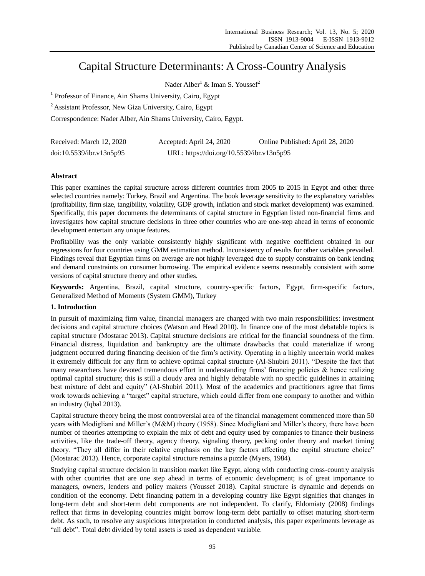# Capital Structure Determinants: A Cross-Country Analysis

Nader Alber<sup>1</sup> & Iman S. Youssef<sup>2</sup>

<sup>1</sup> Professor of Finance, Ain Shams University, Cairo, Egypt

<sup>2</sup> Assistant Professor, New Giza University, Cairo, Egypt

Correspondence: Nader Alber, Ain Shams University, Cairo, Egypt.

| Received: March 12, 2020 | Accepted: April 24, 2020                  | Online Published: April 28, 2020 |
|--------------------------|-------------------------------------------|----------------------------------|
| doi:10.5539/ibr.v13n5p95 | URL: https://doi.org/10.5539/ibr.v13n5p95 |                                  |

## **Abstract**

This paper examines the capital structure across different countries from 2005 to 2015 in Egypt and other three selected countries namely: Turkey, Brazil and Argentina. The book leverage sensitivity to the explanatory variables (profitability, firm size, tangibility, volatility, GDP growth, inflation and stock market development) was examined. Specifically, this paper documents the determinants of capital structure in Egyptian listed non-financial firms and investigates how capital structure decisions in three other countries who are one-step ahead in terms of economic development entertain any unique features.

Profitability was the only variable consistently highly significant with negative coefficient obtained in our regressions for four countries using GMM estimation method. Inconsistency of results for other variables prevailed. Findings reveal that Egyptian firms on average are not highly leveraged due to supply constraints on bank lending and demand constraints on consumer borrowing. The empirical evidence seems reasonably consistent with some versions of capital structure theory and other studies.

**Keywords:** Argentina, Brazil, capital structure, country-specific factors, Egypt, firm-specific factors, Generalized Method of Moments (System GMM), Turkey

## **1. Introduction**

In pursuit of maximizing firm value, financial managers are charged with two main responsibilities: investment decisions and capital structure choices (Watson and Head 2010). In finance one of the most debatable topics is capital structure (Mostarac 2013). Capital structure decisions are critical for the financial soundness of the firm. Financial distress, liquidation and bankruptcy are the ultimate drawbacks that could materialize if wrong judgment occurred during financing decision of the firm's activity. Operating in a highly uncertain world makes it extremely difficult for any firm to achieve optimal capital structure (Al-Shubiri 2011). "Despite the fact that many researchers have devoted tremendous effort in understanding firms' financing policies  $\&$  hence realizing optimal capital structure; this is still a cloudy area and highly debatable with no specific guidelines in attaining best mixture of debt and equity" (Al-Shubiri 2011). Most of the academics and practitioners agree that firms work towards achieving a "target" capital structure, which could differ from one company to another and within an industry (Iqbal 2013).

Capital structure theory being the most controversial area of the financial management commenced more than 50 years with Modigliani and Miller's (M&M) theory (1958). Since Modigliani and Miller's theory, there have been number of theories attempting to explain the mix of debt and equity used by companies to finance their business activities, like the trade-off theory, agency theory, signaling theory, pecking order theory and market timing theory. "They all differ in their relative emphasis on the key factors affecting the capital structure choice" (Mostarac 2013). Hence, corporate capital structure remains a puzzle (Myers, 1984).

Studying capital structure decision in transition market like Egypt, along with conducting cross-country analysis with other countries that are one step ahead in terms of economic development; is of great importance to managers, owners, lenders and policy makers (Youssef 2018). Capital structure is dynamic and depends on condition of the economy. Debt financing pattern in a developing country like Egypt signifies that changes in long-term debt and short-term debt components are not independent. To clarify, Eldomiaty (2008) findings reflect that firms in developing countries might borrow long-term debt partially to offset maturing short-term debt. As such, to resolve any suspicious interpretation in conducted analysis, this paper experiments leverage as "all debt". Total debt divided by total assets is used as dependent variable.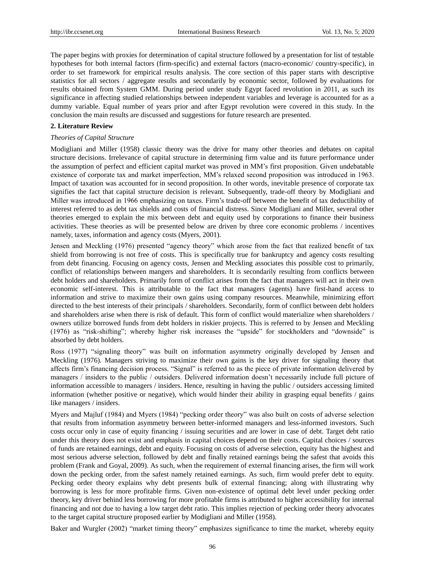The paper begins with proxies for determination of capital structure followed by a presentation for list of testable hypotheses for both internal factors (firm-specific) and external factors (macro-economic/ country-specific), in order to set framework for empirical results analysis. The core section of this paper starts with descriptive statistics for all sectors / aggregate results and secondarily by economic sector, followed by evaluations for results obtained from System GMM. During period under study Egypt faced revolution in 2011, as such its significance in affecting studied relationships between independent variables and leverage is accounted for as a dummy variable. Equal number of years prior and after Egypt revolution were covered in this study. In the conclusion the main results are discussed and suggestions for future research are presented.

## **2. Literature Review**

#### *Theories of Capital Structure*

Modigliani and Miller (1958) classic theory was the drive for many other theories and debates on capital structure decisions. Irrelevance of capital structure in determining firm value and its future performance under the assumption of perfect and efficient capital market was proved in MM's first proposition. Given undebatable existence of corporate tax and market imperfection, MM's relaxed second proposition was introduced in 1963. Impact of taxation was accounted for in second proposition. In other words, inevitable presence of corporate tax signifies the fact that capital structure decision is relevant. Subsequently, trade-off theory by Modigliani and Miller was introduced in 1966 emphasizing on taxes. Firm's trade-off between the benefit of tax deductibility of interest referred to as debt tax shields and costs of financial distress. Since Modigliani and Miller, several other theories emerged to explain the mix between debt and equity used by corporations to finance their business activities. These theories as will be presented below are driven by three core economic problems / incentives namely, taxes, information and agency costs (Myers, 2001).

Jensen and Meckling (1976) presented "agency theory" which arose from the fact that realized benefit of tax shield from borrowing is not free of costs. This is specifically true for bankruptcy and agency costs resulting from debt financing. Focusing on agency costs, Jensen and Meckling associates this possible cost to primarily, conflict of relationships between mangers and shareholders. It is secondarily resulting from conflicts between debt holders and shareholders. Primarily form of conflict arises from the fact that managers will act in their own economic self-interest. This is attributable to the fact that managers (agents) have first-hand access to information and strive to maximize their own gains using company resources. Meanwhile, minimizing effort directed to the best interests of their principals / shareholders. Secondarily, form of conflict between debt holders and shareholders arise when there is risk of default. This form of conflict would materialize when shareholders / owners utilize borrowed funds from debt holders in riskier projects. This is referred to by Jensen and Meckling (1976) as "risk-shifting"; whereby higher risk increases the "upside" for stockholders and "downside" is absorbed by debt holders.

Ross (1977) "signaling theory" was built on information asymmetry originally developed by Jensen and Meckling (1976). Managers striving to maximize their own gains is the key driver for signaling theory that affects firm's financing decision process. "Signal" is referred to as the piece of private information delivered by managers / insiders to the public / outsiders. Delivered information doesn't necessarily include full picture of information accessible to managers / insiders. Hence, resulting in having the public / outsiders accessing limited information (whether positive or negative), which would hinder their ability in grasping equal benefits / gains like managers / insiders.

Myers and Majluf (1984) and Myers (1984) "pecking order theory" was also built on costs of adverse selection that results from information asymmetry between better-informed managers and less-informed investors. Such costs occur only in case of equity financing / issuing securities and are lower in case of debt. Target debt ratio under this theory does not exist and emphasis in capital choices depend on their costs. Capital choices / sources of funds are retained earnings, debt and equity. Focusing on costs of adverse selection, equity has the highest and most serious adverse selection, followed by debt and finally retained earnings being the safest that avoids this problem (Frank and Goyal, 2009). As such, when the requirement of external financing arises, the firm will work down the pecking order, from the safest namely retained earnings. As such, firm would prefer debt to equity. Pecking order theory explains why debt presents bulk of external financing; along with illustrating why borrowing is less for more profitable firms. Given non-existence of optimal debt level under pecking order theory, key driver behind less borrowing for more profitable firms is attributed to higher accessibility for internal financing and not due to having a low target debt ratio. This implies rejection of pecking order theory advocates to the target capital structure proposed earlier by Modigliani and Miller (1958).

Baker and Wurgler (2002) "market timing theory" emphasizes significance to time the market, whereby equity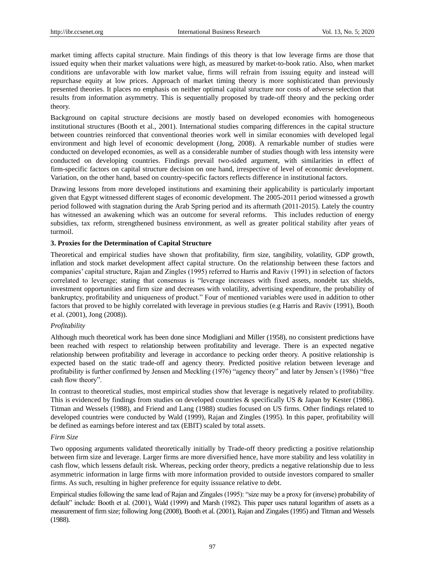market timing affects capital structure. Main findings of this theory is that low leverage firms are those that issued equity when their market valuations were high, as measured by market-to-book ratio. Also, when market conditions are unfavorable with low market value, firms will refrain from issuing equity and instead will repurchase equity at low prices. Approach of market timing theory is more sophisticated than previously presented theories. It places no emphasis on neither optimal capital structure nor costs of adverse selection that results from information asymmetry. This is sequentially proposed by trade-off theory and the pecking order theory.

Background on capital structure decisions are mostly based on developed economies with homogeneous institutional structures (Booth et al., 2001). International studies comparing differences in the capital structure between countries reinforced that conventional theories work well in similar economies with developed legal environment and high level of economic development (Jong, 2008). A remarkable number of studies were conducted on developed economies, as well as a considerable number of studies though with less intensity were conducted on developing countries. Findings prevail two-sided argument, with similarities in effect of firm-specific factors on capital structure decision on one hand, irrespective of level of economic development. Variation, on the other hand, based on country-specific factors reflects difference in institutional factors.

Drawing lessons from more developed institutions and examining their applicability is particularly important given that Egypt witnessed different stages of economic development. The 2005-2011 period witnessed a growth period followed with stagnation during the Arab Spring period and its aftermath (2011-2015). Lately the country has witnessed an awakening which was an outcome for several reforms. This includes reduction of energy subsidies, tax reform, strengthened business environment, as well as greater political stability after years of turmoil.

## **3. Proxies for the Determination of Capital Structure**

Theoretical and empirical studies have shown that profitability, firm size, tangibility, volatility, GDP growth, inflation and stock market development affect capital structure. On the relationship between these factors and companies' capital structure, Rajan and Zingles (1995) referred to Harris and Raviv (1991) in selection of factors correlated to leverage; stating that consensus is "leverage increases with fixed assets, nondebt tax shields, investment opportunities and firm size and decreases with volatility, advertising expenditure, the probability of bankruptcy, profitability and uniqueness of product." Four of mentioned variables were used in addition to other factors that proved to be highly correlated with leverage in previous studies (e.g Harris and Raviv (1991), Booth et al. (2001), Jong (2008)).

## *Profitability*

Although much theoretical work has been done since Modigliani and Miller (1958), no consistent predictions have been reached with respect to relationship between profitability and leverage. There is an expected negative relationship between profitability and leverage in accordance to pecking order theory. A positive relationship is expected based on the static trade-off and agency theory. Predicted positive relation between leverage and profitability is further confirmed by Jensen and Meckling (1976) "agency theory" and later by Jensen's (1986) "free cash flow theory".

In contrast to theoretical studies, most empirical studies show that leverage is negatively related to profitability. This is evidenced by findings from studies on developed countries & specifically US & Japan by Kester (1986). Titman and Wessels (1988), and Friend and Lang (1988) studies focused on US firms. Other findings related to developed countries were conducted by Wald (1999), Rajan and Zingles (1995). In this paper, profitability will be defined as earnings before interest and tax (EBIT) scaled by total assets.

## *Firm Size*

Two opposing arguments validated theoretically initially by Trade-off theory predicting a positive relationship between firm size and leverage. Larger firms are more diversified hence, have more stability and less volatility in cash flow, which lessens default risk. Whereas, pecking order theory, predicts a negative relationship due to less asymmetric information in large firms with more information provided to outside investors compared to smaller firms. As such, resulting in higher preference for equity issuance relative to debt.

Empirical studies following the same lead of Rajan and Zingales (1995): "size may be a proxy for (inverse) probability of default" include: Booth et al. (2001), Wald (1999) and Marsh (1982). This paper uses natural logarithm of assets as a measurement of firm size; following Jong (2008), Booth et al. (2001), Rajan and Zingales (1995) and Titman and Wessels (1988).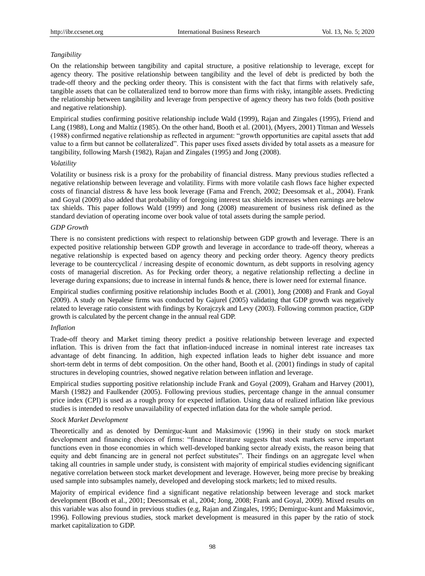## *Tangibility*

On the relationship between tangibility and capital structure, a positive relationship to leverage, except for agency theory. The positive relationship between tangibility and the level of debt is predicted by both the trade-off theory and the pecking order theory. This is consistent with the fact that firms with relatively safe, tangible assets that can be collateralized tend to borrow more than firms with risky, intangible assets. Predicting the relationship between tangibility and leverage from perspective of agency theory has two folds (both positive and negative relationship).

Empirical studies confirming positive relationship include Wald (1999), Rajan and Zingales (1995), Friend and Lang (1988), Long and Maltiz (1985). On the other hand, Booth et al. (2001), (Myers, 2001) Titman and Wessels (1988) confirmed negative relationship as reflected in argument: "growth opportunities are capital assets that add value to a firm but cannot be collateralized". This paper uses fixed assets divided by total assets as a measure for tangibility, following Marsh (1982), Rajan and Zingales (1995) and Jong (2008).

#### *Volatility*

Volatility or business risk is a proxy for the probability of financial distress. Many previous studies reflected a negative relationship between leverage and volatility. Firms with more volatile cash flows face higher expected costs of financial distress & have less book leverage (Fama and French, 2002; Deesomsak et al., 2004). Frank and Goyal (2009) also added that probability of foregoing interest tax shields increases when earnings are below tax shields. This paper follows Wald (1999) and Jong (2008) measurement of business risk defined as the standard deviation of operating income over book value of total assets during the sample period.

## *GDP Growth*

There is no consistent predictions with respect to relationship between GDP growth and leverage. There is an expected positive relationship between GDP growth and leverage in accordance to trade-off theory, whereas a negative relationship is expected based on agency theory and pecking order theory. Agency theory predicts leverage to be countercyclical / increasing despite of economic downturn, as debt supports in resolving agency costs of managerial discretion. As for Pecking order theory, a negative relationship reflecting a decline in leverage during expansions; due to increase in internal funds & hence, there is lower need for external finance.

Empirical studies confirming positive relationship includes Booth et al. (2001), Jong (2008) and Frank and Goyal (2009). A study on Nepalese firms was conducted by Gajurel (2005) validating that GDP growth was negatively related to leverage ratio consistent with findings by Korajczyk and Levy (2003). Following common practice, GDP growth is calculated by the percent change in the annual real GDP.

#### *Inflation*

Trade-off theory and Market timing theory predict a positive relationship between leverage and expected inflation. This is driven from the fact that inflation-induced increase in nominal interest rate increases tax advantage of debt financing. In addition, high expected inflation leads to higher debt issuance and more short-term debt in terms of debt composition. On the other hand, Booth et al. (2001) findings in study of capital structures in developing countries, showed negative relation between inflation and leverage.

Empirical studies supporting positive relationship include Frank and Goyal (2009), Graham and Harvey (2001), Marsh (1982) and Faulkender (2005). Following previous studies, percentage change in the annual consumer price index (CPI) is used as a rough proxy for expected inflation. Using data of realized inflation like previous studies is intended to resolve unavailability of expected inflation data for the whole sample period.

#### *Stock Market Development*

Theoretically and as denoted by Demirguc-kunt and Maksimovic (1996) in their study on stock market development and financing choices of firms: "finance literature suggests that stock markets serve important functions even in those economies in which well-developed banking sector already exists, the reason being that equity and debt financing are in general not perfect substitutes". Their findings on an aggregate level when taking all countries in sample under study, is consistent with majority of empirical studies evidencing significant negative correlation between stock market development and leverage. However, being more precise by breaking used sample into subsamples namely, developed and developing stock markets; led to mixed results.

Majority of empirical evidence find a significant negative relationship between leverage and stock market development (Booth et al., 2001; Deesomsak et al., 2004; Jong, 2008; Frank and Goyal, 2009). Mixed results on this variable was also found in previous studies (e.g, Rajan and Zingales, 1995; Demirguc-kunt and Maksimovic, 1996). Following previous studies, stock market development is measured in this paper by the ratio of stock market capitalization to GDP.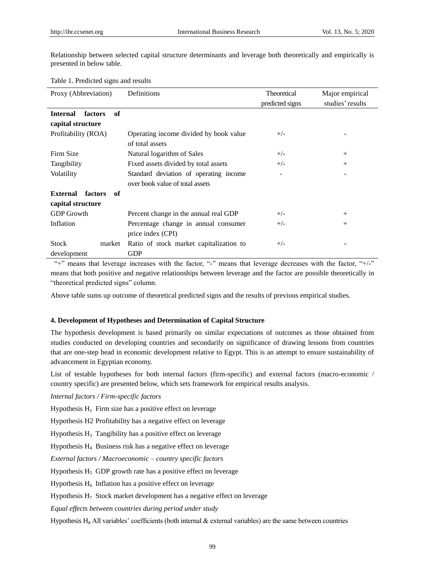Relationship between selected capital structure determinants and leverage both theoretically and empirically is presented in below table.

#### Table 1. Predicted signs and results

| Proxy (Abbreviation)             | Definitions                             | Theoretical     | Major empirical  |
|----------------------------------|-----------------------------------------|-----------------|------------------|
|                                  |                                         | predicted signs | studies' results |
| <b>Internal</b><br>of<br>factors |                                         |                 |                  |
| capital structure                |                                         |                 |                  |
| Profitability (ROA)              | Operating income divided by book value  | $+/-$           |                  |
|                                  | of total assets                         |                 |                  |
| Firm Size                        | Natural logarithm of Sales              | $+/-$           | $^{+}$           |
| Tangibility                      | Fixed assets divided by total assets    | $+/-$           | $^{+}$           |
| Volatility                       | Standard deviation of operating income  |                 |                  |
|                                  | over book value of total assets         |                 |                  |
| <b>External</b><br>factors<br>of |                                         |                 |                  |
| capital structure                |                                         |                 |                  |
| <b>GDP</b> Growth                | Percent change in the annual real GDP   | $+/-$           | $^{+}$           |
| Inflation                        | Percentage change in annual consumer    | $+/-$           | $^{+}$           |
|                                  | price index (CPI)                       |                 |                  |
| <b>Stock</b><br>market           | Ratio of stock market capitalization to | $+/-$           |                  |
| development                      | <b>GDP</b>                              |                 |                  |

"+" means that leverage increases with the factor, "-" means that leverage decreases with the factor, "+/-" means that both positive and negative relationships between leverage and the factor are possible theoretically in "theoretical predicted signs" column.

Above table sums up outcome of theoretical predicted signs and the results of previous empirical studies.

## **4. Development of Hypotheses and Determination of Capital Structure**

The hypothesis development is based primarily on similar expectations of outcomes as those obtained from studies conducted on developing countries and secondarily on significance of drawing lessons from countries that are one-step head in economic development relative to Egypt. This is an attempt to ensure sustainability of advancement in Egyptian economy.

List of testable hypotheses for both internal factors (firm-specific) and external factors (macro-economic / country specific) are presented below, which sets framework for empirical results analysis.

*Internal factors / Firm-specific factors*

Hypothesis  $H_1$  Firm size has a positive effect on leverage

Hypothesis H2 Profitability has a negative effect on leverage

Hypothesis  $H_3$  Tangibility has a positive effect on leverage

Hypothesis  $H_4$  Business risk has a negative effect on leverage

*External factors / Macroeconomic – country specific factors*

Hypothesis  $H_5$  GDP growth rate has a positive effect on leverage

Hypothesis  $H_6$  Inflation has a positive effect on leverage

Hypothesis  $H_7$  Stock market development has a negative effect on leverage

*Equal effects between countries during period under study*

Hypothesis H<sub>8</sub> All variables' coefficients (both internal & external variables) are the same between countries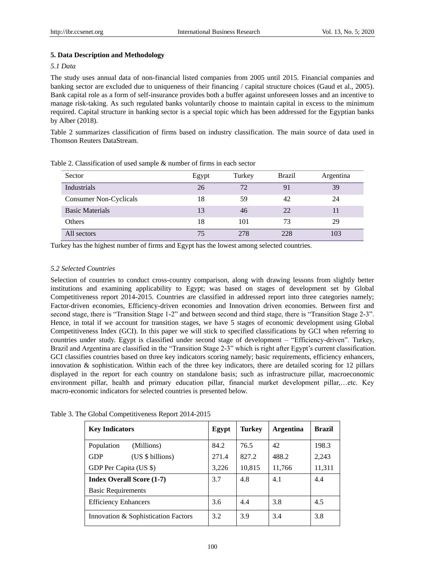## **5. Data Description and Methodology**

## *5.1 Data*

The study uses annual data of non-financial listed companies from 2005 until 2015. Financial companies and banking sector are excluded due to uniqueness of their financing / capital structure choices (Gaud et al., 2005). Bank capital role as a form of self-insurance provides both a buffer against unforeseen losses and an incentive to manage risk-taking. As such regulated banks voluntarily choose to maintain capital in excess to the minimum required. Capital structure in banking sector is a special topic which has been addressed for the Egyptian banks by Alber (2018).

Table 2 summarizes classification of firms based on industry classification. The main source of data used in Thomson Reuters DataStream.

| Sector                 | Egypt | Turkey | <b>Brazil</b> | Argentina |
|------------------------|-------|--------|---------------|-----------|
| Industrials            | 26    | 72     | 91            | 39        |
| Consumer Non-Cyclicals | 18    | 59     | 42            | 24        |
| <b>Basic Materials</b> | 13    | 46     | 22            |           |
| <b>Others</b>          | 18    | 101    | 73            | 29        |
| All sectors            | 75    | 278    | 228           | 103       |

Table 2. Classification of used sample & number of firms in each sector

Turkey has the highest number of firms and Egypt has the lowest among selected countries.

## *5.2 Selected Countries*

Selection of countries to conduct cross-country comparison, along with drawing lessons from slightly better institutions and examining applicability to Egypt; was based on stages of development set by Global Competitiveness report 2014-2015. Countries are classified in addressed report into three categories namely; Factor-driven economies, Efficiency-driven economies and Innovation driven economies. Between first and second stage, there is "Transition Stage 1-2" and between second and third stage, there is "Transition Stage 2-3". Hence, in total if we account for transition stages, we have 5 stages of economic development using Global Competitiveness Index (GCI). In this paper we will stick to specified classifications by GCI when referring to countries under study. Egypt is classified under second stage of development – "Efficiency-driven". Turkey, Brazil and Argentina are classified in the "Transition Stage 2-3" which is right after Egypt's current classification. GCI classifies countries based on three key indicators scoring namely; basic requirements, efficiency enhancers, innovation  $\&$  sophistication. Within each of the three key indicators, there are detailed scoring for 12 pillars displayed in the report for each country on standalone basis; such as infrastructure pillar, macroeconomic environment pillar, health and primary education pillar, financial market development pillar,…etc. Key macro-economic indicators for selected countries is presented below.

| $\ldots$ and shoot competitive negative port 2011 2015 |       |        |                  |               |
|--------------------------------------------------------|-------|--------|------------------|---------------|
| <b>Key Indicators</b>                                  | Egypt | Turkey | <b>Argentina</b> | <b>Brazil</b> |
| Population<br>(Millions)                               | 84.2  | 76.5   | 42               | 198.3         |
| <b>GDP</b><br>(US \$ billions)                         | 271.4 | 827.2  | 488.2            | 2,243         |
| GDP Per Capita (US \$)                                 | 3,226 | 10,815 | 11,766           | 11,311        |
| <b>Index Overall Score (1-7)</b>                       | 3.7   | 4.8    | 4.1              | 4.4           |
| <b>Basic Requirements</b>                              |       |        |                  |               |
| <b>Efficiency Enhancers</b>                            | 3.6   | 4.4    | 3.8              | 4.5           |
|                                                        |       |        |                  |               |

Table 3. The Global Competitiveness Report 2014-2015

5 Innovation & Sophistication Factors 3.2 3.9 3.4 3.8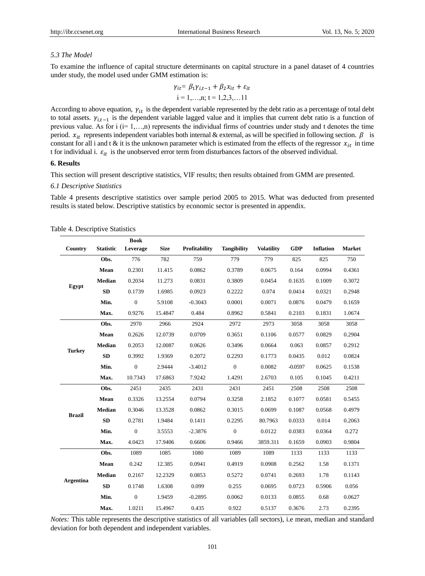#### *5.3 The Model*

To examine the influence of capital structure determinants on capital structure in a panel dataset of 4 countries under study, the model used under GMM estimation is:

$$
\gamma_{it} = \beta_1 \gamma_{i,t-1} + \beta_2 x_{it} + \varepsilon_{it}
$$
  
i = 1,...,n; t = 1,2,3,...11

According to above equation,  $\gamma_{it}$  is the dependent variable represented by the debt ratio as a percentage of total debt to total assets.  $\gamma_{i,t-1}$  is the dependent variable lagged value and it implies that current debt ratio is a function of previous value. As for  $i$  ( $i=1,...,n$ ) represents the individual firms of countries under study and t denotes the time period.  $x_{it}$  represents independent variables both internal & external, as will be specified in following section.  $\beta$  is constant for all i and t & it is the unknown parameter which is estimated from the effects of the regressor  $x_{it}$  in time t for individual i.  $\varepsilon_{it}$  is the unobserved error term from disturbances factors of the observed individual.

## **6. Results**

This section will present descriptive statistics, VIF results; then results obtained from GMM are presented.

#### *6.1 Descriptive Statistics*

Table 4 presents descriptive statistics over sample period 2005 to 2015. What was deducted from presented results is stated below. Descriptive statistics by economic sector is presented in appendix.

|                  |                  | <b>Book</b>      |             |               |                    |                   |            |                  |               |
|------------------|------------------|------------------|-------------|---------------|--------------------|-------------------|------------|------------------|---------------|
| Country          | <b>Statistic</b> | Leverage         | <b>Size</b> | Profitability | <b>Tangibility</b> | <b>Volatility</b> | <b>GDP</b> | <b>Inflation</b> | <b>Market</b> |
|                  | Obs.             | 776              | 782         | 759           | 779                | 779               | 825        | 825              | 750           |
|                  | Mean             | 0.2301           | 11.415      | 0.0862        | 0.3789             | 0.0675            | 0.164      | 0.0994           | 0.4361        |
|                  | <b>Median</b>    | 0.2034           | 11.273      | 0.0831        | 0.3809             | 0.0454            | 0.1635     | 0.1009           | 0.3072        |
| Egypt            | <b>SD</b>        | 0.1739           | 1.6985      | 0.0923        | 0.2222             | 0.074             | 0.0414     | 0.0321           | 0.2948        |
|                  | Min.             | $\boldsymbol{0}$ | 5.9108      | $-0.3043$     | 0.0001             | 0.0071            | 0.0876     | 0.0479           | 0.1659        |
|                  | Max.             | 0.9276           | 15.4847     | 0.484         | 0.8962             | 0.5841            | 0.2103     | 0.1831           | 1.0674        |
|                  | Obs.             | 2970             | 2966        | 2924          | 2972               | 2973              | 3058       | 3058             | 3058          |
|                  | Mean             | 0.2626           | 12.0739     | 0.0709        | 0.3651             | 0.1106            | 0.0577     | 0.0829           | 0.2904        |
|                  | <b>Median</b>    | 0.2053           | 12.0087     | 0.0626        | 0.3496             | 0.0664            | 0.063      | 0.0857           | 0.2912        |
| <b>Turkey</b>    | <b>SD</b>        | 0.3992           | 1.9369      | 0.2072        | 0.2293             | 0.1773            | 0.0435     | 0.012            | 0.0824        |
|                  | Min.             | $\overline{0}$   | 2.9444      | $-3.4012$     | $\overline{0}$     | 0.0082            | $-0.0597$  | 0.0625           | 0.1538        |
|                  | Max.             | 10.7343          | 17.6863     | 7.9242        | 1.4291             | 2.6703            | 0.105      | 0.1045           | 0.4211        |
|                  | Obs.             | 2451             | 2435        | 2431          | 2431               | 2451              | 2508       | 2508             | 2508          |
|                  | Mean             | 0.3326           | 13.2554     | 0.0794        | 0.3258             | 2.1852            | 0.1077     | 0.0581           | 0.5455        |
|                  | <b>Median</b>    | 0.3046           | 13.3528     | 0.0862        | 0.3015             | 0.0699            | 0.1087     | 0.0568           | 0.4979        |
| <b>Brazil</b>    | <b>SD</b>        | 0.2781           | 1.9484      | 0.1411        | 0.2295             | 80.7963           | 0.0333     | 0.014            | 0.2063        |
|                  | Min.             | $\boldsymbol{0}$ | 3.5553      | $-2.3876$     | $\overline{0}$     | 0.0122            | 0.0383     | 0.0364           | 0.272         |
|                  | Max.             | 4.0423           | 17.9406     | 0.6606        | 0.9466             | 3859.311          | 0.1659     | 0.0903           | 0.9804        |
|                  | Obs.             | 1089             | 1085        | 1080          | 1089               | 1089              | 1133       | 1133             | 1133          |
|                  | Mean             | 0.242            | 12.385      | 0.0941        | 0.4919             | 0.0908            | 0.2562     | 1.58             | 0.1371        |
|                  | <b>Median</b>    | 0.2167           | 12.2329     | 0.0853        | 0.5272             | 0.0741            | 0.2693     | 1.78             | 0.1143        |
| <b>Argentina</b> | <b>SD</b>        | 0.1748           | 1.6308      | 0.099         | 0.255              | 0.0695            | 0.0723     | 0.5906           | 0.056         |
|                  | Min.             | $\mathbf{0}$     | 1.9459      | $-0.2895$     | 0.0062             | 0.0133            | 0.0855     | 0.68             | 0.0627        |
|                  | Max.             | 1.0211           | 15.4967     | 0.435         | 0.922              | 0.5137            | 0.3676     | 2.73             | 0.2395        |

Table 4. Descriptive Statistics

*Notes:* This table represents the descriptive statistics of all variables (all sectors), i.e mean, median and standard deviation for both dependent and independent variables.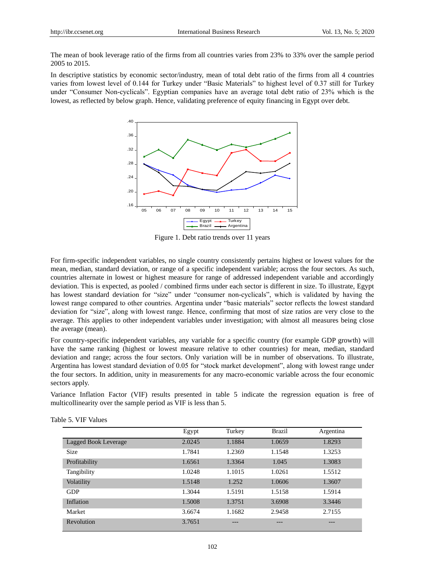The mean of book leverage ratio of the firms from all countries varies from 23% to 33% over the sample period 2005 to 2015.

In descriptive statistics by economic sector/industry, mean of total debt ratio of the firms from all 4 countries varies from lowest level of 0.144 for Turkey under "Basic Materials" to highest level of 0.37 still for Turkey under "Consumer Non-cyclicals". Egyptian companies have an average total debt ratio of 23% which is the lowest, as reflected by below graph. Hence, validating preference of equity financing in Egypt over debt.



Figure 1. Debt ratio trends over 11 years

For firm-specific independent variables, no single country consistently pertains highest or lowest values for the mean, median, standard deviation, or range of a specific independent variable; across the four sectors. As such, countries alternate in lowest or highest measure for range of addressed independent variable and accordingly deviation. This is expected, as pooled / combined firms under each sector is different in size. To illustrate, Egypt has lowest standard deviation for "size" under "consumer non-cyclicals", which is validated by having the lowest range compared to other countries. Argentina under "basic materials" sector reflects the lowest standard deviation for "size", along with lowest range. Hence, confirming that most of size ratios are very close to the average. This applies to other independent variables under investigation; with almost all measures being close the average (mean).

For country-specific independent variables, any variable for a specific country (for example GDP growth) will have the same ranking (highest or lowest measure relative to other countries) for mean, median, standard deviation and range; across the four sectors. Only variation will be in number of observations. To illustrate, Argentina has lowest standard deviation of 0.05 for "stock market development", along with lowest range under the four sectors. In addition, unity in measurements for any macro-economic variable across the four economic sectors apply.

Variance Inflation Factor (VIF) results presented in table 5 indicate the regression equation is free of multicollinearity over the sample period as VIF is less than 5.

|                      | Egypt  | Turkey | Brazil | Argentina |
|----------------------|--------|--------|--------|-----------|
| Lagged Book Leverage | 2.0245 | 1.1884 | 1.0659 | 1.8293    |
| <b>Size</b>          | 1.7841 | 1.2369 | 1.1548 | 1.3253    |
| Profitability        | 1.6561 | 1.3364 | 1.045  | 1.3083    |
| Tangibility          | 1.0248 | 1.1015 | 1.0261 | 1.5512    |
| <b>Volatility</b>    | 1.5148 | 1.252  | 1.0606 | 1.3607    |
| <b>GDP</b>           | 1.3044 | 1.5191 | 1.5158 | 1.5914    |
| Inflation            | 1.5008 | 1.3751 | 3.6908 | 3.3446    |
| Market               | 3.6674 | 1.1682 | 2.9458 | 2.7155    |
| Revolution           | 3.7651 |        | ---    |           |

Table 5. VIF Values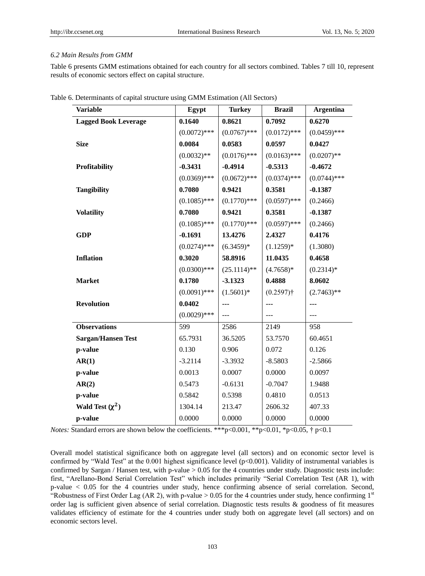## *6.2 Main Results from GMM*

Table 6 presents GMM estimations obtained for each country for all sectors combined. Tables 7 till 10, represent results of economic sectors effect on capital structure.

| <b>Variable</b>             | Egypt          | <b>Turkey</b>  | <b>Brazil</b>  | <b>Argentina</b> |
|-----------------------------|----------------|----------------|----------------|------------------|
| <b>Lagged Book Leverage</b> | 0.1640         | 0.8621         | 0.7092         | 0.6270           |
|                             | $(0.0072)$ *** | $(0.0767)$ *** | $(0.0172)$ *** | $(0.0459)$ ***   |
| <b>Size</b>                 | 0.0084         | 0.0583         | 0.0597         | 0.0427           |
|                             | $(0.0032)$ **  | $(0.0176)$ *** | $(0.0163)$ *** | $(0.0207)$ **    |
| Profitability               | $-0.3431$      | $-0.4914$      | $-0.5313$      | $-0.4672$        |
|                             | $(0.0369)$ *** | $(0.0672)$ *** | $(0.0374)$ *** | $(0.0744)$ ***   |
| <b>Tangibility</b>          | 0.7080         | 0.9421         | 0.3581         | $-0.1387$        |
|                             | $(0.1085)$ *** | $(0.1770)$ *** | $(0.0597)$ *** | (0.2466)         |
| <b>Volatility</b>           | 0.7080         | 0.9421         | 0.3581         | $-0.1387$        |
|                             | $(0.1085)$ *** | $(0.1770)$ *** | $(0.0597)$ *** | (0.2466)         |
| <b>GDP</b>                  | $-0.1691$      | 13.4276        | 2.4327         | 0.4176           |
|                             | $(0.0274)$ *** | $(6.3459)*$    | $(1.1259)^*$   | (1.3080)         |
| <b>Inflation</b>            | 0.3020         | 58.8916        | 11.0435        | 0.4658           |
|                             | $(0.0300)$ *** | $(25.1114)$ ** | $(4.7658)^*$   | $(0.2314)*$      |
| <b>Market</b>               | 0.1780         | $-3.1323$      | 0.4888         | 8.0602           |
|                             | $(0.0091)$ *** | $(1.5601)^*$   | $(0.2597)$ †   | $(2.7463)$ **    |
| <b>Revolution</b>           | 0.0402         | ---            | ---            | ---              |
|                             | $(0.0029)$ *** | ---            | $---$          |                  |
| <b>Observations</b>         | 599            | 2586           | 2149           | 958              |
| <b>Sargan/Hansen Test</b>   | 65.7931        | 36.5205        | 53.7570        | 60.4651          |
| p-value                     | 0.130          | 0.906          | 0.072          | 0.126            |
| AR(1)                       | $-3.2114$      | $-3.3932$      | $-8.5803$      | $-2.5866$        |
| p-value                     | 0.0013         | 0.0007         | 0.0000         | 0.0097           |
| AR(2)                       | 0.5473         | $-0.6131$      | $-0.7047$      | 1.9488           |
| p-value                     | 0.5842         | 0.5398         | 0.4810         | 0.0513           |
| Wald Test $(\chi^2)$        | 1304.14        | 213.47         | 2606.32        | 407.33           |
| p-value                     | 0.0000         | 0.0000         | 0.0000         | 0.0000           |

| Table 6. Determinants of capital structure using GMM Estimation (All Sectors) |  |  |  |  |
|-------------------------------------------------------------------------------|--|--|--|--|
|-------------------------------------------------------------------------------|--|--|--|--|

*Notes:* Standard errors are shown below the coefficients. \*\*\*  $p<0.001$ , \*\*  $p<0.01$ , \* $p<0.05$ , †  $p<0.1$ 

Overall model statistical significance both on aggregate level (all sectors) and on economic sector level is confirmed by "Wald Test" at the 0.001 highest significance level (p<0.001). Validity of instrumental variables is confirmed by Sargan / Hansen test, with p-value  $> 0.05$  for the 4 countries under study. Diagnostic tests include: first, "Arellano-Bond Serial Correlation Test" which includes primarily "Serial Correlation Test (AR 1), with p-value < 0.05 for the 4 countries under study, hence confirming absence of serial correlation. Second, "Robustness of First Order Lag (AR 2), with p-value > 0.05 for the 4 countries under study, hence confirming  $1<sup>st</sup>$ order lag is sufficient given absence of serial correlation. Diagnostic tests results & goodness of fit measures validates efficiency of estimate for the 4 countries under study both on aggregate level (all sectors) and on economic sectors level.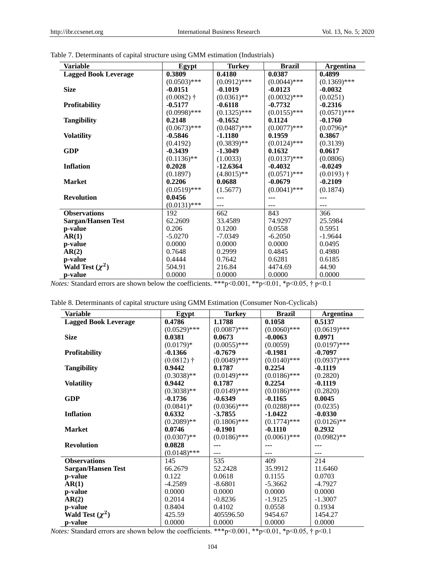| Variable                    | Egypt          | <b>Turkey</b>  | <b>Brazil</b>  | <b>Argentina</b> |
|-----------------------------|----------------|----------------|----------------|------------------|
| <b>Lagged Book Leverage</b> | 0.3809         | 0.4180         | 0.0387         | 0.4899           |
|                             | $(0.0503)$ *** | $(0.0912)$ *** | $(0.0044)$ *** | $(0.1369)$ ***   |
| <b>Size</b>                 | $-0.0151$      | $-0.1019$      | $-0.0123$      | $-0.0032$        |
|                             | $(0.0082)$ †   | $(0.0361)$ **  | $(0.0032)$ *** | (0.0251)         |
| <b>Profitability</b>        | $-0.5177$      | $-0.6118$      | $-0.7732$      | $-0.2316$        |
|                             | $(0.0998)$ *** | $(0.1325)$ *** | $(0.0155)$ *** | $(0.0571)$ ***   |
| <b>Tangibility</b>          | 0.2148         | $-0.1652$      | 0.1124         | $-0.1760$        |
|                             | $(0.0673)$ *** | $(0.0487)$ *** | $(0.0077)$ *** | $(0.0796)*$      |
| <b>Volatility</b>           | $-0.5846$      | $-1.1180$      | 0.1959         | 0.3867           |
|                             | (0.4192)       | $(0.3839)**$   | $(0.0124)$ *** | (0.3139)         |
| <b>GDP</b>                  | $-0.3439$      | $-1.3049$      | 0.1632         | 0.0617           |
|                             | $(0.1136)$ **  | (1.0033)       | $(0.0137)$ *** | (0.0806)         |
| <b>Inflation</b>            | 0.2028         | $-12.6364$     | $-0.4032$      | $-0.0249$        |
|                             | (0.1897)       | $(4.8015)$ **  | $(0.0571)$ *** | $(0.0193)$ †     |
| <b>Market</b>               | 0.2206         | 0.0688         | $-0.0679$      | $-0.2109$        |
|                             | $(0.0519)$ *** | (1.5677)       | $(0.0041)$ *** | (0.1874)         |
| <b>Revolution</b>           | 0.0456         |                |                |                  |
|                             | $(0.0131)$ *** |                |                |                  |
| <b>Observations</b>         | 192            | 662            | 843            | 366              |
| <b>Sargan/Hansen Test</b>   | 62.2609        | 33.4589        | 74.9297        | 25.5984          |
| p-value                     | 0.206          | 0.1200         | 0.0558         | 0.5951           |
| AR(1)                       | $-5.0270$      | $-7.0349$      | $-6.2050$      | $-1.9644$        |
| p-value                     | 0.0000         | 0.0000         | 0.0000         | 0.0495           |
| AR(2)                       | 0.7648         | 0.2999         | 0.4845         | 0.4980           |
| p-value                     | 0.4444         | 0.7642         | 0.6281         | 0.6185           |
| Wald Test $(\chi^2)$        | 504.91         | 216.84         | 4474.69        | 44.90            |
| p-value                     | 0.0000         | 0.0000         | 0.0000         | 0.0000           |

Table 7. Determinants of capital structure using GMM estimation (Industrials)

*Notes:* Standard errors are shown below the coefficients. \*\*\*p<0.001, \*\*p<0.01, \*p<0.05, † p<0.1

|  |  |  | Table 8. Determinants of capital structure using GMM Estimation (Consumer Non-Cyclicals) |
|--|--|--|------------------------------------------------------------------------------------------|
|--|--|--|------------------------------------------------------------------------------------------|

| <b>Variable</b>             | Egypt                   | <b>Turkey</b>  | <b>Brazil</b>  | <b>Argentina</b> |
|-----------------------------|-------------------------|----------------|----------------|------------------|
| <b>Lagged Book Leverage</b> | 0.4786                  | 1.1788         | 0.1058         | 0.5137           |
|                             | $(0.0529)$ ***          | $(0.0087)$ *** | $(0.0060)$ *** | $(0.0619)$ ***   |
| <b>Size</b>                 | 0.0381                  | 0.0673         | $-0.0063$      | 0.0971           |
|                             | $(0.0179)*$             | $(0.0055)$ *** | (0.0059)       | $(0.0197)$ ***   |
| <b>Profitability</b>        | $-0.1366$               | $-0.7679$      | $-0.1981$      | $-0.7097$        |
|                             | $(0.0812)$ <sup>+</sup> | $(0.0049)$ *** | $(0.0140)$ *** | $(0.0937)$ ***   |
| <b>Tangibility</b>          | 0.9442                  | 0.1787         | 0.2254         | $-0.1119$        |
|                             | $(0.3038)$ **           | $(0.0149)$ *** | $(0.0186)$ *** | (0.2820)         |
| <b>Volatility</b>           | 0.9442                  | 0.1787         | 0.2254         | $-0.1119$        |
|                             | $(0.3038)$ **           | $(0.0149)$ *** | $(0.0186)$ *** | (0.2820)         |
| <b>GDP</b>                  | $-0.1736$               | $-0.6349$      | $-0.1165$      | 0.0045           |
|                             | $(0.0841)^*$            | $(0.0366)$ *** | $(0.0288)$ *** | (0.0235)         |
| <b>Inflation</b>            | 0.6332                  | $-3.7855$      | $-1.0422$      | $-0.0330$        |
|                             | $(0.2089)$ **           | $(0.1806)$ *** | $(0.1774)$ *** | $(0.0126)$ **    |
| <b>Market</b>               | 0.0746                  | $-0.1901$      | $-0.1110$      | 0.2932           |
|                             | $(0.0307)$ **           | $(0.0186)$ *** | $(0.0061)$ *** | $(0.0982)$ **    |
| <b>Revolution</b>           | 0.0828                  |                |                |                  |
|                             | $(0.0148)$ ***          | ---            | $---$          |                  |
| <b>Observations</b>         | 145                     | 535            | 409            | 214              |
| <b>Sargan/Hansen Test</b>   | 66.2679                 | 52.2428        | 35.9912        | 11.6460          |
| p-value                     | 0.122                   | 0.0618         | 0.1155         | 0.0703           |
| AR(1)                       | $-4.2589$               | $-8.6801$      | $-5.3662$      | $-4.7927$        |
| p-value                     | 0.0000                  | 0.0000         | 0.0000         | 0.0000           |
| AR(2)                       | 0.2014                  | $-0.8236$      | $-1.9125$      | $-1.3007$        |
| p-value                     | 0.8404                  | 0.4102         | 0.0558         | 0.1934           |
| Wald Test $(\chi^2)$        | 425.59                  | 405596.50      | 9454.67        | 1454.27          |
| p-value                     | 0.0000                  | 0.0000         | 0.0000         | 0.0000           |

*Notes:* Standard errors are shown below the coefficients. \*\*\*p<0.001, \*\*p<0.01, \*p<0.05, † p<0.1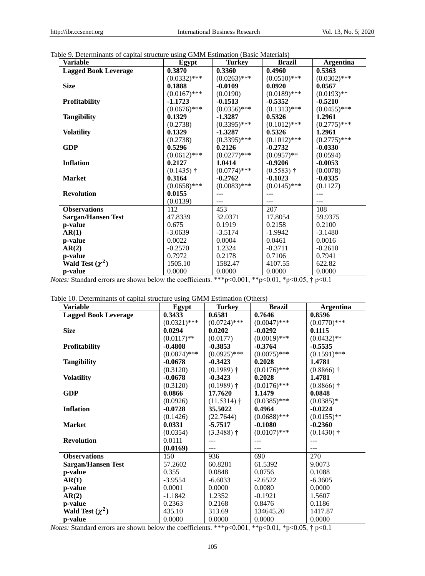| Table 9. Determinants of capital structure using GMM Estimation (Basic Materials) |
|-----------------------------------------------------------------------------------|
|-----------------------------------------------------------------------------------|

| Variable                    | Egypt          | <b>Turkey</b>  | <b>Brazil</b>  | <b>Argentina</b> |
|-----------------------------|----------------|----------------|----------------|------------------|
| <b>Lagged Book Leverage</b> | 0.3870         | 0.3360         | 0.4960         | 0.5363           |
|                             | $(0.0332)$ *** | $(0.0263)$ *** | $(0.0510)$ *** | $(0.0302)$ ***   |
| <b>Size</b>                 | 0.1888         | $-0.0109$      | 0.0920         | 0.0567           |
|                             | $(0.0167)$ *** | (0.0190)       | $(0.0189)$ *** | $(0.0193)$ **    |
| <b>Profitability</b>        | $-1.1723$      | $-0.1513$      | $-0.5352$      | $-0.5210$        |
|                             | $(0.0676)$ *** | $(0.0356)$ *** | $(0.1313)$ *** | $(0.0455)$ ***   |
| <b>Tangibility</b>          | 0.1329         | $-1.3287$      | 0.5326         | 1.2961           |
|                             | (0.2738)       | $(0.3395)$ *** | $(0.1012)$ *** | $(0.2775)$ ***   |
| <b>Volatility</b>           | 0.1329         | $-1.3287$      | 0.5326         | 1.2961           |
|                             | (0.2738)       | $(0.3395)$ *** | $(0.1012)$ *** | $(0.2775)$ ***   |
| GDP                         | 0.5296         | 0.2126         | $-0.2732$      | $-0.0330$        |
|                             | $(0.0612)$ *** | $(0.0277)$ *** | $(0.0957)$ **  | (0.0594)         |
| <b>Inflation</b>            | 0.2127         | 1.0414         | $-0.9206$      | $-0.0053$        |
|                             | $(0.1435)$ †   | $(0.0774)$ *** | $(0.5583)$ †   | (0.0078)         |
| <b>Market</b>               | 0.3164         | $-0.2762$      | $-0.1023$      | $-0.0335$        |
|                             | $(0.0658)$ *** | $(0.0083)$ *** | $(0.0145)$ *** | (0.1127)         |
| <b>Revolution</b>           | 0.0155         | ---            | ---            |                  |
|                             | (0.0139)       |                |                |                  |
| <b>Observations</b>         | 112            | 453            | 207            | 108              |
| Sargan/Hansen Test          | 47.8339        | 32.0371        | 17.8054        | 59.9375          |
| p-value                     | 0.675          | 0.1919         | 0.2158         | 0.2100           |
| AR(1)                       | $-3.0639$      | $-3.5174$      | $-1.9942$      | $-3.1480$        |
| p-value                     | 0.0022         | 0.0004         | 0.0461         | 0.0016           |
| AR(2)                       | $-0.2570$      | 1.2324         | $-0.3711$      | $-0.2610$        |
| p-value                     | 0.7972         | 0.2178         | 0.7106         | 0.7941           |
| Wald Test $(\chi^2)$        | 1505.10        | 1582.47        | 4107.55        | 622.82           |
| p-value                     | 0.0000         | 0.0000         | 0.0000         | 0.0000           |

*Notes:* Standard errors are shown below the coefficients. \*\*\*p<0.001, \*\*p<0.01, \*p<0.05, † p<0.1

|  | Table 10. Determinants of capital structure using GMM Estimation (Others) |  |  |  |  |  |  |  |
|--|---------------------------------------------------------------------------|--|--|--|--|--|--|--|
|--|---------------------------------------------------------------------------|--|--|--|--|--|--|--|

| <b>Variable</b>             | Egypt          | <b>Turkey</b>  | <b>Brazil</b>  | <b>Argentina</b> |
|-----------------------------|----------------|----------------|----------------|------------------|
| <b>Lagged Book Leverage</b> | 0.3433         | 0.6581         | 0.7646         | 0.8596           |
|                             | $(0.0321)$ *** | $(0.0724)$ *** | $(0.0047)$ *** | $(0.0770)$ ***   |
| <b>Size</b>                 | 0.0294         | 0.0202         | $-0.0292$      | 0.1115           |
|                             | $(0.0117)$ **  | (0.0177)       | $(0.0019)$ *** | $(0.0432)$ **    |
| Profitability               | $-0.4808$      | $-0.3853$      | $-0.3764$      | $-0.5535$        |
|                             | $(0.0874)$ *** | $(0.0925)$ *** | $(0.0075)$ *** | $(0.1591)$ ***   |
| <b>Tangibility</b>          | $-0.0678$      | $-0.3423$      | 0.2028         | 1.4781           |
|                             | (0.3120)       | $(0.1989)$ †   | $(0.0176)$ *** | $(0.8866)$ †     |
| <b>Volatility</b>           | $-0.0678$      | $-0.3423$      | 0.2028         | 1.4781           |
|                             | (0.3120)       | $(0.1989)$ †   | $(0.0176)$ *** | $(0.8866)$ †     |
| <b>GDP</b>                  | 0.0866         | 17.7620        | 1.1479         | 0.0848           |
|                             | (0.0926)       | $(11.5314)$ †  | $(0.0385)$ *** | $(0.0385)*$      |
| <b>Inflation</b>            | $-0.0728$      | 35.5022        | 0.4964         | $-0.0224$        |
|                             | (0.1426)       | (22.7644)      | $(0.0688)$ *** | $(0.0155)$ **    |
| <b>Market</b>               | 0.0331         | $-5.7517$      | $-0.1080$      | $-0.2360$        |
|                             | (0.0354)       | $(3.3488)$ †   | $(0.0107)$ *** | $(0.1430)$ †     |
| <b>Revolution</b>           | 0.0111         |                |                |                  |
|                             | (0.0169)       | ---            | ---            | ---              |
| <b>Observations</b>         | 150            | 936            | 690            | 270              |
| <b>Sargan/Hansen Test</b>   | 57.2602        | 60.8281        | 61.5392        | 9.0073           |
| p-value                     | 0.355          | 0.0848         | 0.0756         | 0.1088           |
| AR(1)                       | $-3.9554$      | $-6.6033$      | $-2.6522$      | $-6.3605$        |
| p-value                     | 0.0001         | 0.0000         | 0.0080         | 0.0000           |
| AR(2)                       | $-1.1842$      | 1.2352         | $-0.1921$      | 1.5607           |
| p-value                     | 0.2363         | 0.2168         | 0.8476         | 0.1186           |
| Wald Test $(\chi^2)$        | 435.10         | 313.69         | 134645.20      | 1417.87          |
| p-value                     | 0.0000         | 0.0000         | 0.0000         | 0.0000           |

*Notes:* Standard errors are shown below the coefficients. \*\*\*p<0.001, \*\*p<0.01, \*p<0.05, † p<0.1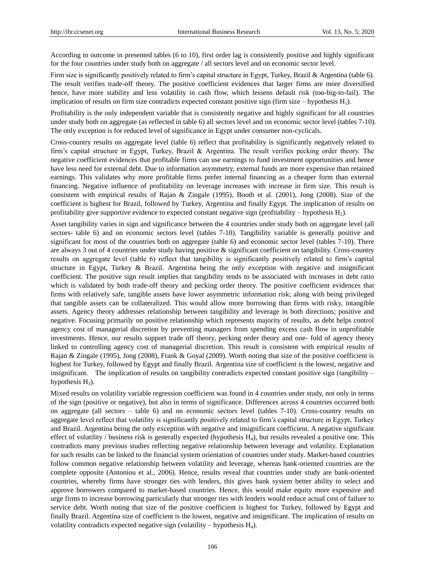According to outcome in presented tables (6 to 10), first order lag is consistently positive and highly significant for the four countries under study both on aggregate / all sectors level and on economic sector level.

Firm size is significantly positively related to firm's capital structure in Egypt, Turkey, Brazil & Argentina (table 6). The result verifies trade-off theory. The positive coefficient evidences that larger firms are more diversified hence, have more stability and less volatility in cash flow, which lessens default risk (too-big-to-fail). The implication of results on firm size contradicts expected constant positive sign (firm size – hypothesis  $H_1$ ).

Profitability is the only independent variable that is consistently negative and highly significant for all countries under study both on aggregate (as reflected in table 6) all sectors level and on economic sector level (tables 7-10). The only exception is for reduced level of significance in Egypt under consumer non-cyclicals.

Cross-country results on aggregate level (table 6) reflect that profitability is significantly negatively related to firm's capital structure in Egypt, Turkey, Brazil & Argentina. The result verifies pecking order theory. The negative coefficient evidences that profitable firms can use earnings to fund investment opportunities and hence have less need for external debt. Due to information asymmetry, external funds are more expensive than retained earnings. This validates why more profitable firms prefer internal financing as a cheaper form than external financing. Negative influence of profitability on leverage increases with increase in firm size. This result is consistent with empirical results of Rajan & Zingale (1995), Booth et al. (2001), Jong (2008). Size of the coefficient is highest for Brazil, followed by Turkey, Argentina and finally Egypt. The implication of results on profitability give supportive evidence to expected constant negative sign (profitability – hypothesis  $H_2$ ).

Asset tangibility varies in sign and significance between the 4 countries under study both on aggregate level (all sectors- table 6) and on economic sectors level (tables 7-10). Tangibility variable is generally positive and significant for most of the countries both on aggregate (table 6) and economic sector level (tables 7-10). There are always 3 out of 4 countries under study having positive & significant coefficient on tangibility. Cross-country results on aggregate level (table 6) reflect that tangibility is significantly positively related to firm's capital structure in Egypt, Turkey & Brazil. Argentina being the only exception with negative and insignificant coefficient. The positive sign result implies that tangibility tends to be associated with increases in debt ratio which is validated by both trade-off theory and pecking order theory. The positive coefficient evidences that firms with relatively safe, tangible assets have lower asymmetric information risk; along with being privileged that tangible assets can be collateralized. This would allow more borrowing than firms with risky, intangible assets. Agency theory addresses relationship between tangibility and leverage in both directions; positive and negative. Focusing primarily on positive relationship which represents majority of results, as debt helps control agency cost of managerial discretion by preventing managers from spending excess cash flow in unprofitable investments. Hence, our results support trade off theory, pecking order theory and one- fold of agency theory linked to controlling agency cost of managerial discretion. This result is consistent with empirical results of Rajan & Zingale (1995), Jong (2008), Frank & Goyal (2009). Worth noting that size of the positive coefficient is highest for Turkey, followed by Egypt and finally Brazil. Argentina size of coefficient is the lowest, negative and insignificant. The implication of results on tangibility contradicts expected constant positive sign (tangibility – hypothesis  $H_3$ ).

Mixed results on volatility variable regression coefficient was found in 4 countries under study, not only in terms of the sign (positive or negative), but also in terms of significance. Differences across 4 countries occurred both on aggregate (all sectors – table 6) and on economic sectors level (tables 7-10). Cross-country results on aggregate level reflect that volatility is significantly positively related to firm's capital structure in Egypt, Turkey and Brazil. Argentina being the only exception with negative and insignificant coefficient. A negative significant effect of volatility / business risk is generally expected (hypothesis  $H_4$ ), but results revealed a positive one. This contradicts many previous studies reflecting negative relationship between leverage and volatility. Explanation for such results can be linked to the financial system orientation of countries under study. Market-based countries follow common negative relationship between volatility and leverage, whereas bank-oriented countries are the complete opposite (Antoniou et al., 2006). Hence, results reveal that countries under study are bank-oriented countries, whereby firms have stronger ties with lenders, this gives bank system better ability to select and approve borrowers compared to market-based countries. Hence, this would make equity more expensive and urge firms to increase borrowing particularly that stronger ties with lenders would reduce actual cost of failure to service debt. Worth noting that size of the positive coefficient is highest for Turkey, followed by Egypt and finally Brazil. Argentina size of coefficient is the lowest, negative and insignificant. The implication of results on volatility contradicts expected negative sign (volatility – hypothesis  $H_4$ ).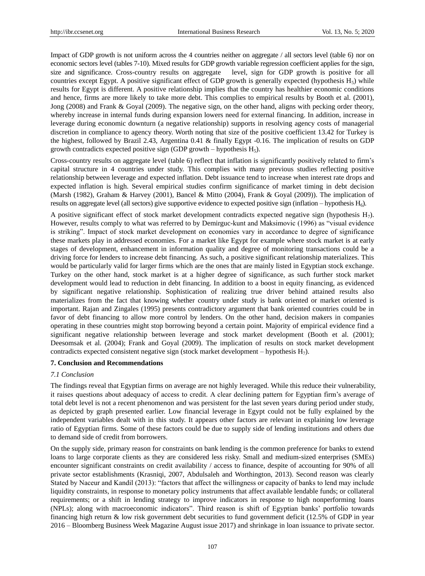Impact of GDP growth is not uniform across the 4 countries neither on aggregate / all sectors level (table 6) nor on economic sectors level (tables 7-10). Mixed results for GDP growth variable regression coefficient applies for the sign, size and significance. Cross-country results on aggregate level, sign for GDP growth is positive for all countries except Egypt. A positive significant effect of GDP growth is generally expected (hypothesis  $H_5$ ) while results for Egypt is different. A positive relationship implies that the country has healthier economic conditions and hence, firms are more likely to take more debt. This complies to empirical results by Booth et al. (2001), Jong (2008) and Frank & Goyal (2009). The negative sign, on the other hand, aligns with pecking order theory, whereby increase in internal funds during expansion lowers need for external financing. In addition, increase in leverage during economic downturn (a negative relationship) supports in resolving agency costs of managerial discretion in compliance to agency theory. Worth noting that size of the positive coefficient 13.42 for Turkey is the highest, followed by Brazil 2.43, Argentina 0.41 & finally Egypt -0.16. The implication of results on GDP growth contradicts expected positive sign (GDP growth – hypothesis  $H_5$ ).

Cross-country results on aggregate level (table 6) reflect that inflation is significantly positively related to firm's capital structure in 4 countries under study. This complies with many previous studies reflecting positive relationship between leverage and expected inflation. Debt issuance tend to increase when interest rate drops and expected inflation is high. Several empirical studies confirm significance of market timing in debt decision (Marsh (1982), Graham & Harvey (2001), Bancel & Mitto (2004), Frank & Goyal (2009)). The implication of results on aggregate level (all sectors) give supportive evidence to expected positive sign (inflation – hypothesis H6).

A positive significant effect of stock market development contradicts expected negative sign (hypothesis H7). However, results comply to what was referred to by Demirguc-kunt and Maksimovic (1996) as "visual evidence is striking". Impact of stock market development on economies vary in accordance to degree of significance these markets play in addressed economies. For a market like Egypt for example where stock market is at early stages of development, enhancement in information quality and degree of monitoring transactions could be a driving force for lenders to increase debt financing. As such, a positive significant relationship materializes. This would be particularly valid for larger firms which are the ones that are mainly listed in Egyptian stock exchange. Turkey on the other hand, stock market is at a higher degree of significance, as such further stock market development would lead to reduction in debt financing. In addition to a boost in equity financing, as evidenced by significant negative relationship. Sophistication of realizing true driver behind attained results also materializes from the fact that knowing whether country under study is bank oriented or market oriented is important. Rajan and Zingales (1995) presents contradictory argument that bank oriented countries could be in favor of debt financing to allow more control by lenders. On the other hand, decision makers in companies operating in these countries might stop borrowing beyond a certain point. Majority of empirical evidence find a significant negative relationship between leverage and stock market development (Booth et al. (2001); Deesomsak et al. (2004); Frank and Goyal (2009). The implication of results on stock market development contradicts expected consistent negative sign (stock market development – hypothesis  $H_7$ ).

## **7. Conclusion and Recommendations**

## *7.1 Conclusion*

The findings reveal that Egyptian firms on average are not highly leveraged. While this reduce their vulnerability, it raises questions about adequacy of access to credit. A clear declining pattern for Egyptian firm's average of total debt level is not a recent phenomenon and was persistent for the last seven years during period under study, as depicted by graph presented earlier. Low financial leverage in Egypt could not be fully explained by the independent variables dealt with in this study. It appears other factors are relevant in explaining low leverage ratio of Egyptian firms. Some of these factors could be due to supply side of lending institutions and others due to demand side of credit from borrowers.

On the supply side, primary reason for constraints on bank lending is the common preference for banks to extend loans to large corporate clients as they are considered less risky. Small and medium-sized enterprises (SMEs) encounter significant constraints on credit availability / access to finance, despite of accounting for 90% of all private sector establishments (Krasniqi, 2007, Abdulsaleh and Worthington, 2013). Second reason was clearly Stated by Naceur and Kandil (2013): "factors that affect the willingness or capacity of banks to lend may include liquidity constraints, in response to monetary policy instruments that affect available lendable funds; or collateral requirements; or a shift in lending strategy to improve indicators in response to high nonperforming loans (NPLs); along with macroeconomic indicators". Third reason is shift of Egyptian banks' portfolio towards financing high return & low risk government debt securities to fund government deficit (12.5% of GDP in year 2016 – Bloomberg Business Week Magazine August issue 2017) and shrinkage in loan issuance to private sector.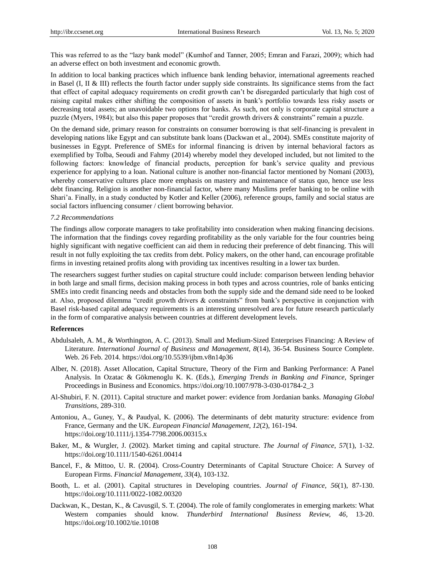This was referred to as the "lazy bank model" (Kumhof and Tanner, 2005; Emran and Farazi, 2009); which had an adverse effect on both investment and economic growth.

In addition to local banking practices which influence bank lending behavior, international agreements reached in Basel (I, II & III) reflects the fourth factor under supply side constraints. Its significance stems from the fact that effect of capital adequacy requirements on credit growth can't be disregarded particularly that high cost of raising capital makes either shifting the composition of assets in bank's portfolio towards less risky assets or decreasing total assets; an unavoidable two options for banks. As such, not only is corporate capital structure a puzzle (Myers, 1984); but also this paper proposes that "credit growth drivers & constraints" remain a puzzle.

On the demand side, primary reason for constraints on consumer borrowing is that self-financing is prevalent in developing nations like Egypt and can substitute bank loans (Dackwan et al., 2004). SMEs constitute majority of businesses in Egypt. Preference of SMEs for informal financing is driven by internal behavioral factors as exemplified by Tolba, Seoudi and Fahmy (2014) whereby model they developed included, but not limited to the following factors: knowledge of financial products, perception for bank's service quality and previous experience for applying to a loan. National culture is another non-financial factor mentioned by Nomani (2003), whereby conservative cultures place more emphasis on mastery and maintenance of status quo, hence use less debt financing. Religion is another non-financial factor, where many Muslims prefer banking to be online with Shari'a. Finally, in a study conducted by Kotler and Keller (2006), reference groups, family and social status are social factors influencing consumer / client borrowing behavior.

#### *7.2 Recommendations*

The findings allow corporate managers to take profitability into consideration when making financing decisions. The information that the findings covey regarding profitability as the only variable for the four countries being highly significant with negative coefficient can aid them in reducing their preference of debt financing. This will result in not fully exploiting the tax credits from debt. Policy makers, on the other hand, can encourage profitable firms in investing retained profits along with providing tax incentives resulting in a lower tax burden.

The researchers suggest further studies on capital structure could include: comparison between lending behavior in both large and small firms, decision making process in both types and across countries, role of banks enticing SMEs into credit financing needs and obstacles from both the supply side and the demand side need to be looked at. Also, proposed dilemma "credit growth drivers & constraints" from bank's perspective in conjunction with Basel risk-based capital adequacy requirements is an interesting unresolved area for future research particularly in the form of comparative analysis between countries at different development levels.

#### **References**

- Abdulsaleh, A. M., & Worthington, A. C. (2013). Small and Medium-Sized Enterprises Financing: A Review of Literature. *International Journal of Business and Management, 8*(14), 36-54. Business Source Complete. Web. 26 Feb. 2014. https://doi.org/10.5539/ijbm.v8n14p36
- Alber, N. (2018). Asset Allocation, Capital Structure, Theory of the Firm and Banking Performance: A Panel Analysis. In Ozatac & Gökmenoglu K. K. (Eds.), *Emerging Trends in Banking and Finance,* Springer Proceedings in Business and Economics. https://doi.org/10.1007/978-3-030-01784-2\_3
- Al-Shubiri, F. N. (2011). Capital structure and market power: evidence from Jordanian banks. *Managing Global Transitions,* 289-310.
- Antoniou, A., Guney, Y., & Paudyal, K. (2006). The determinants of debt maturity structure: evidence from France, Germany and the UK. *European Financial Management, 12*(2), 161-194. https://doi.org/10.1111/j.1354-7798.2006.00315.x
- Baker, M., & Wurgler, J. (2002). Market timing and capital structure. *The Journal of Finance*, *57*(1), 1-32. https://doi.org/10.1111/1540-6261.00414
- Bancel, F., & Mittoo, U. R. (2004). Cross-Country Determinants of Capital Structure Choice: A Survey of European Firms. *Financial Management, 33*(4), 103-132.
- Booth, L. et al. (2001). Capital structures in Developing countries. *Journal of Finance, 56*(1), 87-130. https://doi.org/10.1111/0022-1082.00320
- Dackwan, K., Destan, K., & Cavusgil, S. T. (2004). The role of family conglomerates in emerging markets: What Western companies should know. *Thunderbird International Business Review, 46,* 13-20. https://doi.org/10.1002/tie.10108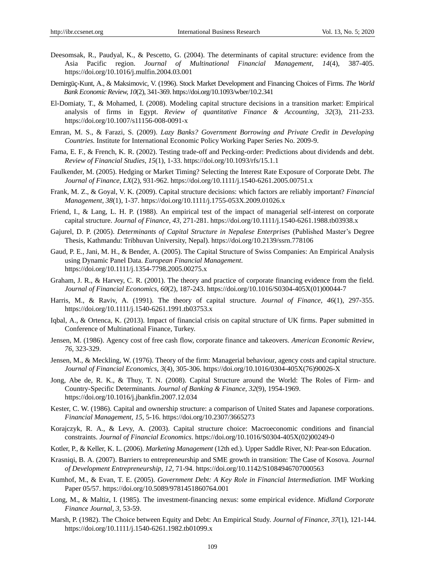- Deesomsak, R., Paudyal, K., & Pescetto, G. (2004). The determinants of capital structure: evidence from the Asia Pacific region. *Journal of Multinational Financial Management, 14*(4), 387-405. https://doi.org/10.1016/j.mulfin.2004.03.001
- Demirgüç-Kunt, A., & Maksimovic, V. (1996). Stock Market Development and Financing Choices of Firms. *The World Bank Economic Review, 10*(2), 341-369. https://doi.org/10.1093/wber/10.2.341
- El-Domiaty, T., & Mohamed, I. (2008). Modeling capital structure decisions in a transition market: Empirical analysis of firms in Egypt. *Review of quantitative Finance & Accounting, 32*(3), 211-233. https://doi.org/10.1007/s11156-008-0091-x
- Emran, M. S., & Farazi, S. (2009). *Lazy Banks? Government Borrowing and Private Credit in Developing Countries.* Institute for International Economic Policy Working Paper Series No. 2009-9.
- Fama, E. F., & French, K. R. (2002). Testing trade-off and Pecking-order: Predictions about dividends and debt. *Review of Financial Studies*, *15*(1), 1-33. https://doi.org/10.1093/rfs/15.1.1
- Faulkender, M. (2005). Hedging or Market Timing? Selecting the Interest Rate Exposure of Corporate Debt. *The Journal of Finance, LX*(2), 931-962. https://doi.org/10.1111/j.1540-6261.2005.00751.x
- Frank, M. Z., & Goyal, V. K. (2009). Capital structure decisions: which factors are reliably important? *Financial Management, 38*(1), 1-37. https://doi.org/10.1111/j.1755-053X.2009.01026.x
- Friend, I., & Lang, L. H. P. (1988). An empirical test of the impact of managerial self-interest on corporate capital structure. *Journal of Finance, 43*, 271-281. https://doi.org/10.1111/j.1540-6261.1988.tb03938.x
- Gajurel, D. P. (2005). *Determinants of Capital Structure in Nepalese Enterprises* (Published Master's Degree Thesis, Kathmandu: Tribhuvan University, Nepal). https://doi.org/10.2139/ssrn.778106
- Gaud, P. E., Jani, M. H., & Bender, A. (2005). The Capital Structure of Swiss Companies: An Empirical Analysis using Dynamic Panel Data. *European Financial Management*. https://doi.org/10.1111/j.1354-7798.2005.00275.x
- Graham, J. R., & Harvey, C. R. (2001). The theory and practice of corporate financing evidence from the field. *Journal of Financial Economics, 60*(2), 187-243. https://doi.org/10.1016/S0304-405X(01)00044-7
- Harris, M., & Raviv, A. (1991). The theory of capital structure. *Journal of Finance, 46*(1), 297-355. https://doi.org/10.1111/j.1540-6261.1991.tb03753.x
- Iqbal, A., & Ortenca, K. (2013). Impact of financial crisis on capital structure of UK firms. Paper submitted in Conference of Multinational Finance, Turkey.
- Jensen, M. (1986). Agency cost of free cash flow, corporate finance and takeovers. *American Economic Review*, *76,* 323-329.
- Jensen, M., & Meckling, W. (1976). Theory of the firm: Managerial behaviour, agency costs and capital structure. *Journal of Financial Economics, 3*(4), 305-306. https://doi.org/10.1016/0304-405X(76)90026-X
- Jong, Abe de, R. K., & Thuy, T. N. (2008). Capital Structure around the World: The Roles of Firm- and Country-Specific Determinants. *Journal of Banking & Finance, 32*(9), 1954-1969. https://doi.org/10.1016/j.jbankfin.2007.12.034
- Kester, C. W. (1986). Capital and ownership structure: a comparison of United States and Japanese corporations. *Financial Management, 15,* 5-16. https://doi.org/10.2307/3665273
- Korajczyk, R. A., & Levy, A. (2003). Capital structure choice: Macroeconomic conditions and financial constraints. *Journal of Financial Economics*. https://doi.org/10.1016/S0304-405X(02)00249-0
- Kotler, P., & Keller, K. L. (2006). *Marketing Management* (12th ed.). Upper Saddle River, NJ: Pear-son Education.
- Krasniqi, B. A. (2007). Barriers to entrepreneurship and SME growth in transition: The Case of Kosova. *Journal of Development Entrepreneurship, 12,* 71-94. https://doi.org/10.1142/S1084946707000563
- Kumhof, M., & Evan, T. E. (2005). *Government Debt: A Key Role in Financial Intermediation.* IMF Working Paper 05/57. https://doi.org/10.5089/9781451860764.001
- Long, M., & Maltiz, I. (1985). The investment-financing nexus: some empirical evidence. *Midland Corporate Finance Journal, 3,* 53-59.
- Marsh, P. (1982). The Choice between Equity and Debt: An Empirical Study. *Journal of Finance, 37*(1), 121-144. https://doi.org/10.1111/j.1540-6261.1982.tb01099.x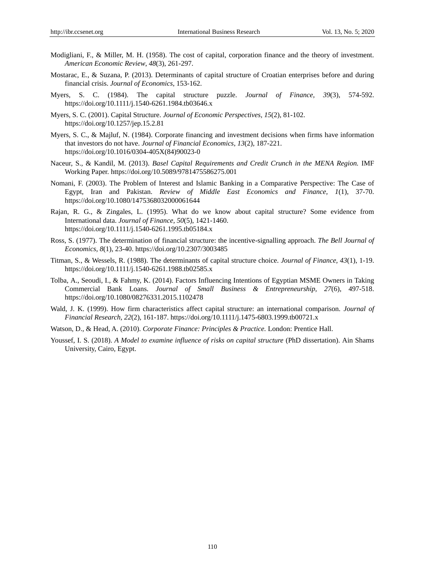- Modigliani, F., & Miller, M. H. (1958). The cost of capital, corporation finance and the theory of investment. *American Economic Review*, *48*(3), 261-297.
- Mostarac, E., & Suzana, P. (2013). Determinants of capital structure of Croatian enterprises before and during financial crisis. *Journal of Economics*, 153-162.
- Myers, S. C. (1984). The capital structure puzzle. *Journal of Finance, 39*(3), 574-592. https://doi.org/10.1111/j.1540-6261.1984.tb03646.x
- Myers, S. C. (2001). Capital Structure. *Journal of Economic Perspectives, 15*(2), 81-102. https://doi.org/10.1257/jep.15.2.81
- Myers, S. C., & Majluf, N. (1984). Corporate financing and investment decisions when firms have information that investors do not have. *Journal of Financial Economics*, *13*(2), 187-221. https://doi.org/10.1016/0304-405X(84)90023-0
- Naceur, S., & Kandil, M. (2013). *Basel Capital Requirements and Credit Crunch in the MENA Region.* IMF Working Paper. https://doi.org/10.5089/9781475586275.001
- Nomani, F. (2003). The Problem of Interest and Islamic Banking in a Comparative Perspective: The Case of Egypt, Iran and Pakistan. *Review of Middle East Economics and Finance, 1*(1), 37-70. https://doi.org/10.1080/1475368032000061644
- Rajan, R. G., & Zingales, L. (1995). What do we know about capital structure? Some evidence from International data. *Journal of Finance, 50*(5), 1421-1460. https://doi.org/10.1111/j.1540-6261.1995.tb05184.x
- Ross, S. (1977). The determination of financial structure: the incentive-signalling approach. *The Bell Journal of Economics, 8*(1), 23-40. https://doi.org/10.2307/3003485
- Titman, S., & Wessels, R. (1988). The determinants of capital structure choice. *Journal of Finance, 43*(1), 1-19. https://doi.org/10.1111/j.1540-6261.1988.tb02585.x
- Tolba, A., Seoudi, I., & Fahmy, K. (2014). Factors Influencing Intentions of Egyptian MSME Owners in Taking Commercial Bank Loans. *Journal of Small Business & Entrepreneurship, 27*(6), 497-518. https://doi.org/10.1080/08276331.2015.1102478
- Wald, J. K. (1999). How firm characteristics affect capital structure: an international comparison. *Journal of Financial Research, 22*(2), 161-187. https://doi.org/10.1111/j.1475-6803.1999.tb00721.x
- Watson, D., & Head, A. (2010). *Corporate Finance: Principles & Practice.* London: Prentice Hall.
- Youssef, I. S. (2018). *A Model to examine influence of risks on capital structure* (PhD dissertation). Ain Shams University, Cairo, Egypt.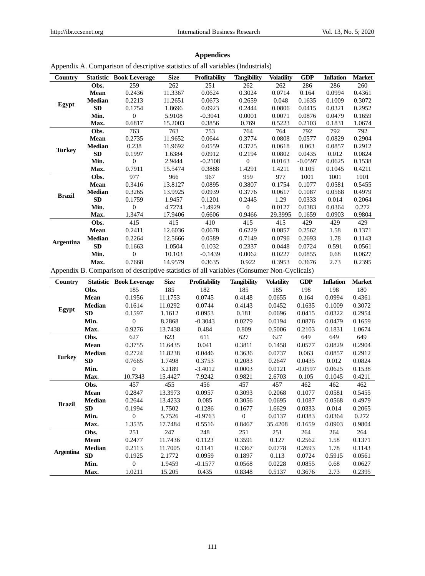| Country          |               | <b>Statistic Book Leverage</b>                                                             | <b>Size</b> | Profitability | <b>Tangibility</b> | <b>Volatility</b> | <b>GDP</b> | <b>Inflation</b> | <b>Market</b> |
|------------------|---------------|--------------------------------------------------------------------------------------------|-------------|---------------|--------------------|-------------------|------------|------------------|---------------|
|                  | Obs.          | 259                                                                                        | 262         | 251           | 262                | 262               | 286        | 286              | 260           |
|                  | Mean          | 0.2436                                                                                     | 11.3367     | 0.0624        | 0.3024             | 0.0714            | 0.164      | 0.0994           | 0.4361        |
| Egypt            | Median        | 0.2213                                                                                     | 11.2651     | 0.0673        | 0.2659             | 0.048             | 0.1635     | 0.1009           | 0.3072        |
|                  | SD            | 0.1754                                                                                     | 1.8696      | 0.0923        | 0.2444             | 0.0806            | 0.0415     | 0.0321           | 0.2952        |
|                  | Min.          | $\boldsymbol{0}$                                                                           | 5.9108      | $-0.3041$     | 0.0001             | 0.0071            | 0.0876     | 0.0479           | 0.1659        |
|                  | Max.          | 0.6817                                                                                     | 15.2003     | 0.3856        | 0.769              | 0.5223            | 0.2103     | 0.1831           | 1.0674        |
|                  | Obs.          | 763                                                                                        | 763         | 753           | 764                | 764               | 792        | 792              | 792           |
|                  | Mean          | 0.2735                                                                                     | 11.9652     | 0.0644        | 0.3774             | 0.0808            | 0.0577     | 0.0829           | 0.2904        |
| <b>Turkey</b>    | Median        | 0.238                                                                                      | 11.9692     | 0.0559        | 0.3725             | 0.0618            | 0.063      | 0.0857           | 0.2912        |
|                  | SD            | 0.1997                                                                                     | 1.6384      | 0.0912        | 0.2194             | 0.0802            | 0.0435     | 0.012            | 0.0824        |
|                  | Min.          | $\boldsymbol{0}$                                                                           | 2.9444      | $-0.2108$     | $\boldsymbol{0}$   | 0.0163            | $-0.0597$  | 0.0625           | 0.1538        |
|                  | Max.          | 0.7911                                                                                     | 15.5474     | 0.3888        | 1.4291             | 1.4211            | 0.105      | 0.1045           | 0.4211        |
|                  | Obs.          | 977                                                                                        | 966         | 967           | 959                | 977               | 1001       | 1001             | 1001          |
|                  | Mean          | 0.3416                                                                                     | 13.8127     | 0.0895        | 0.3807             | 0.1754            | 0.1077     | 0.0581           | 0.5455        |
| <b>Brazil</b>    | Median        | 0.3265                                                                                     | 13.9925     | 0.0939        | 0.3776             | 0.0617            | 0.1087     | 0.0568           | 0.4979        |
|                  | SD            | 0.1759                                                                                     | 1.9457      | 0.1201        | 0.2445             | 1.29              | 0.0333     | 0.014            | 0.2064        |
|                  | Min.          | $\boldsymbol{0}$                                                                           | 4.7274      | $-1.4929$     | $\boldsymbol{0}$   | 0.0127            | 0.0383     | 0.0364           | 0.272         |
|                  | Max.          | 1.3474                                                                                     | 17.9406     | 0.6606        | 0.9466             | 29.3995           | 0.1659     | 0.0903           | 0.9804        |
|                  | Obs.          | 415                                                                                        | 415         | 410           | 415                | 415               | 429        | 429              | 429           |
| <b>Argentina</b> | Mean          | 0.2411                                                                                     | 12.6036     | 0.0678        | 0.6229             | 0.0857            | 0.2562     | 1.58             | 0.1371        |
|                  | Median        | 0.2264                                                                                     | 12.5666     | 0.0589        | 0.7149             | 0.0796            | 0.2693     | 1.78             | 0.1143        |
|                  | SD            | 0.1663                                                                                     | 1.0504      | 0.1032        | 0.2337             | 0.0448            | 0.0724     | 0.591            | 0.0561        |
|                  | Min.          | $\boldsymbol{0}$                                                                           | 10.103      | $-0.1439$     | 0.0062             | 0.0227            | 0.0855     | 0.68             | 0.0627        |
|                  | Max.          | 0.7668                                                                                     | 14.9579     | 0.3635        | 0.922              | 0.3953            | 0.3676     | 2.73             | 0.2395        |
|                  |               | Appendix B. Comparison of descriptive statistics of all variables (Consumer Non-Cyclicals) |             |               |                    |                   |            |                  |               |
| Country          |               | <b>Statistic Book Leverage</b>                                                             | <b>Size</b> | Profitability | <b>Tangibility</b> | <b>Volatility</b> | <b>GDP</b> | <b>Inflation</b> | <b>Market</b> |
|                  | Obs.          | 185                                                                                        | 185         | 182           | 185                | 185               | 198        | 198              | 180           |
|                  | Mean          | 0.1956                                                                                     | 11.1753     | 0.0745        | 0.4148             | 0.0655            | 0.164      | 0.0994           | 0.4361        |
| Egypt            | Median        | 0.1614                                                                                     | 11.0292     | 0.0744        | 0.4143             | 0.0452            | 0.1635     | 0.1009           | 0.3072        |
|                  | SD            | 0.1597                                                                                     | 1.1612      | 0.0953        | 0.181              | 0.0696            | 0.0415     | 0.0322           | 0.2954        |
|                  | Min.          | $\boldsymbol{0}$                                                                           | 8.2868      | $-0.3043$     | 0.0279             | 0.0194            | 0.0876     | 0.0479           | 0.1659        |
|                  | Max.          | 0.9276                                                                                     | 13.7438     | 0.484         | 0.809              | 0.5006            | 0.2103     | 0.1831           | 1.0674        |
|                  | Obs.          | 627                                                                                        | 623         | 611           | 627                | 627               | 649        | 649              | 649           |
|                  | Mean          | 0.3755                                                                                     | 11.6435     | 0.041         | 0.3811             | 0.1458            | 0.0577     | 0.0829           | 0.2904        |
| <b>Turkey</b>    | Median        | 0.2724                                                                                     | 11.8238     | 0.0446        | 0.3636             | 0.0737            | 0.063      | 0.0857           | 0.2912        |
|                  | ${\bf SD}$    | 0.7665                                                                                     | 1.7498      | 0.3753        | 0.2083             | 0.2647            | 0.0435     | 0.012            | 0.0824        |
|                  | Min.          | $\boldsymbol{0}$                                                                           | 3.2189      | $-3.4012$     | 0.0003             | 0.0121            | $-0.0597$  | 0.0625           | 0.1538        |
|                  | Max.          | 10.7343                                                                                    | 15.4427     | 7.9242        | 0.9821             | 2.6703            | 0.105      | 0.1045           | 0.4211        |
|                  | Obs.          | 457                                                                                        | 455         | 456           | 457                | 457               | 462        | 462              | 462           |
|                  | Mean          | 0.2847                                                                                     | 13.3973     | 0.0957        | 0.3093             | 0.2068            | 0.1077     | 0.0581           | 0.5455        |
| <b>Brazil</b>    | <b>Median</b> | 0.2644                                                                                     | 13.4233     | 0.085         | 0.3056             | 0.0695            | 0.1087     | 0.0568           | 0.4979        |
|                  | SD            |                                                                                            | 1.7502      |               | 0.1677             | 1.6629            | 0.0333     | 0.014            | 0.2065        |
|                  |               | 0.1994                                                                                     |             | 0.1286        |                    |                   |            |                  |               |
|                  | Min.          | $\boldsymbol{0}$                                                                           | 5.7526      | $-0.9763$     | $\boldsymbol{0}$   | 0.0137            | 0.0383     | 0.0364           | 0.272         |
|                  | Max.          | 1.3535                                                                                     | 17.7484     | 0.5516        | 0.8467             | 35.4208           | 0.1659     | 0.0903           | 0.9804        |
|                  | Obs.          | 251                                                                                        | 247         | 248           | 251                | 251               | 264        | 264              | 264           |
|                  | Mean          | 0.2477                                                                                     | 11.7436     | 0.1123        | 0.3591             | 0.127             | 0.2562     | 1.58             | 0.1371        |
|                  | <b>Median</b> | 0.2113                                                                                     | 11.7005     | 0.1141        | 0.3367             | 0.0778            | 0.2693     | 1.78             | 0.1143        |
| <b>Argentina</b> | SD            | 0.1925                                                                                     | 2.1772      | 0.0959        | 0.1897             | 0.113             | 0.0724     | 0.5915           | 0.0561        |
|                  | Min.          | $\boldsymbol{0}$                                                                           | 1.9459      | $-0.1577$     | 0.0568             | 0.0228            | 0.0855     | 0.68             | 0.0627        |

## **Appendices**

## Appendix A. Comparison of descriptive statistics of all variables (Industrials)